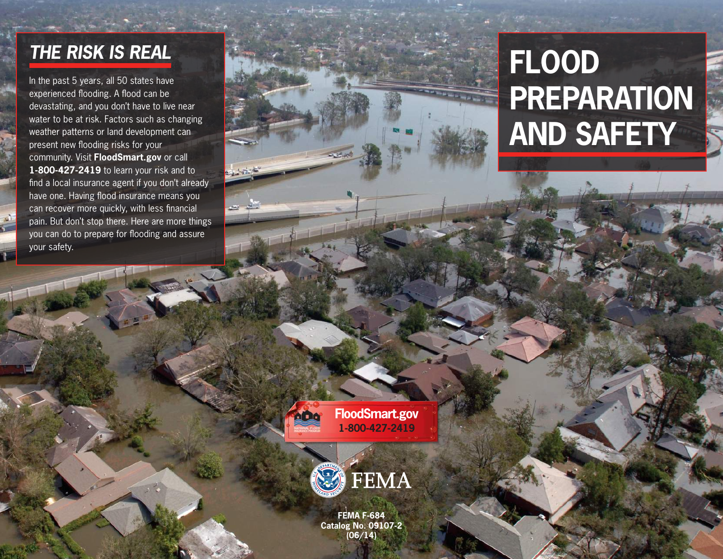#### *THE RISK IS REAL*

In the past 5 years, all 50 states have experienced flooding. A flood can be devastating, and you don't have to live near water to be at risk. Factors such as changing weather patterns or land development can present new flooding risks for your community. Visit **FloodSmart.gov** or call **1-800-427-2419** to learn your risk and to find a local insurance agent if you don't already have one. Having flood insurance means you can recover more quickly, with less financial pain. But don't stop there. Here are more things you can do to prepare for flooding and assure your safety.

# **FLOOD PREPARATION AND SAFETY**

**FloodSmart.gov 1-800-427-2419**

hino



**FEMA F-684 Catalog No. 09107-2 (06/14)**